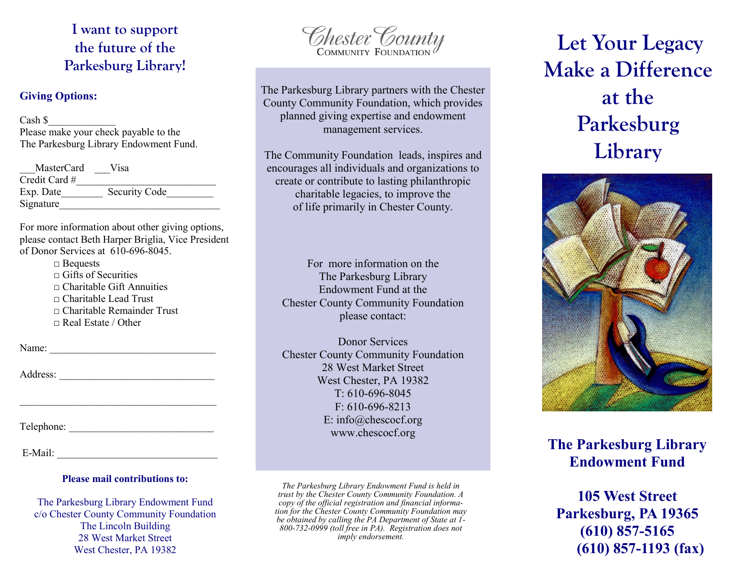**I want to support the future of the Parkesburg Library!**

### **Giving Options:**

 $\cosh s$ 

Please make your check payable to the The Parkesburg Library Endowment Fund.

| <b>MasterCard</b> | Visa                 |
|-------------------|----------------------|
| Credit Card #     |                      |
| Exp. Date         | <b>Security Code</b> |
| Signature         |                      |

For more information about other giving options, please contact Beth Harper Briglia, Vice President of Donor Services at 610-696-8045.

> □ Bequests  $\Box$  Gifts of Securities  $\Box$  Charitable Gift Annuities □ Charitable Lead Trust  $\Box$  Charitable Remainder Trust  $\Box$  Real Estate / Other

Name: \_\_\_\_\_\_\_\_\_\_\_\_\_\_\_\_\_\_\_\_\_\_\_\_\_\_\_\_\_\_\_\_

Address: \_\_\_\_\_\_\_\_\_\_\_\_\_\_\_\_\_\_\_\_\_\_\_\_\_\_\_\_\_\_

Telephone:

| E-Mail: |
|---------|
|---------|

#### **Please mail contributions to:**

The Parkesburg Library Endowment Fund c/o Chester County Community Foundation The Lincoln Building 28 West Market Street West Chester, PA 19382

Chester County

The Parkesburg Library partners with the Chester County Community Foundation, which provides planned giving expertise and endowment management services.

The Community Foundation leads, inspires and encourages all individuals and organizations to create or contribute to lasting philanthropic charitable legacies, to improve the of life primarily in Chester County.

For more information on the The Parkesburg Library Endowment Fund at the Chester County Community Foundation please contact:

Donor Services Chester County Community Foundation 28 West Market Street West Chester, PA 19382 T: 610-696-8045 F: 610-696-8213 E: info@chescocf.org www.chescocf.org

*The Parkesburg Library Endowment Fund is held in trust by the Chester County Community Foundation. A copy of the official registration and financial information for the Chester County Community Foundation may be obtained by calling the PA Department of State at 1- 800-732-0999 (toll free in PA). Registration does not imply endorsement.*

# **Let Your Legacy Make a Difference at the Parkesburg Library**



### **The Parkesburg Library Endowment Fund**

**105 West Street Parkesburg, PA 19365 (610) 857-5165 (610) 857-1193 (fax)**